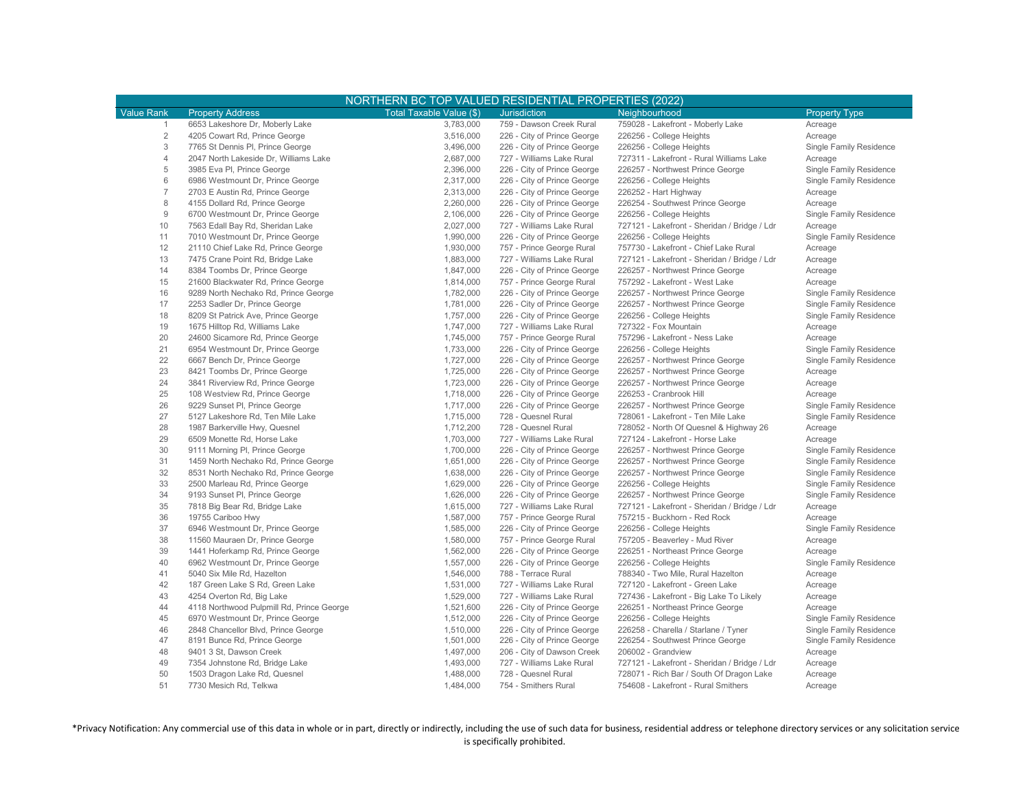| NORTHERN BC TOP VALUED RESIDENTIAL PROPERTIES (2022) |                                           |                          |                             |                                              |                         |  |  |  |  |
|------------------------------------------------------|-------------------------------------------|--------------------------|-----------------------------|----------------------------------------------|-------------------------|--|--|--|--|
| <b>Value Rank</b>                                    | <b>Property Address</b>                   | Total Taxable Value (\$) | <b>Jurisdiction</b>         | Neighbourhood                                | <b>Property Type</b>    |  |  |  |  |
| $\mathbf{1}$                                         | 6653 Lakeshore Dr, Moberly Lake           | 3,783,000                | 759 - Dawson Creek Rural    | 759028 - Lakefront - Moberly Lake            | Acreage                 |  |  |  |  |
| $\overline{2}$                                       | 4205 Cowart Rd, Prince George             | 3,516,000                | 226 - City of Prince George | 226256 - College Heights                     | Acreage                 |  |  |  |  |
| 3                                                    | 7765 St Dennis PI, Prince George          | 3,496,000                | 226 - City of Prince George | 226256 - College Heights                     | Single Family Residence |  |  |  |  |
| $\overline{4}$                                       | 2047 North Lakeside Dr, Williams Lake     | 2,687,000                | 727 - Williams Lake Rural   | 727311 - Lakefront - Rural Williams Lake     | Acreage                 |  |  |  |  |
| 5                                                    | 3985 Eva PI, Prince George                | 2,396,000                | 226 - City of Prince George | 226257 - Northwest Prince George             | Single Family Residence |  |  |  |  |
| 6                                                    | 6986 Westmount Dr, Prince George          | 2,317,000                | 226 - City of Prince George | 226256 - College Heights                     | Single Family Residence |  |  |  |  |
| $\overline{7}$                                       | 2703 E Austin Rd, Prince George           | 2,313,000                | 226 - City of Prince George | 226252 - Hart Highway                        | Acreage                 |  |  |  |  |
| 8                                                    | 4155 Dollard Rd, Prince George            | 2,260,000                | 226 - City of Prince George | 226254 - Southwest Prince George             | Acreage                 |  |  |  |  |
| $\mathsf g$                                          | 6700 Westmount Dr, Prince George          | 2,106,000                | 226 - City of Prince George | 226256 - College Heights                     | Single Family Residence |  |  |  |  |
| 10                                                   | 7563 Edall Bay Rd, Sheridan Lake          | 2,027,000                | 727 - Williams Lake Rural   | 727121 - Lakefront - Sheridan / Bridge / Ldr | Acreage                 |  |  |  |  |
| 11                                                   | 7010 Westmount Dr, Prince George          | 1,990,000                | 226 - City of Prince George | 226256 - College Heights                     | Single Family Residence |  |  |  |  |
| 12                                                   | 21110 Chief Lake Rd, Prince George        | 1,930,000                | 757 - Prince George Rural   | 757730 - Lakefront - Chief Lake Rural        | Acreage                 |  |  |  |  |
| 13                                                   | 7475 Crane Point Rd, Bridge Lake          | 1,883,000                | 727 - Williams Lake Rural   | 727121 - Lakefront - Sheridan / Bridge / Ldr | Acreage                 |  |  |  |  |
| 14                                                   | 8384 Toombs Dr, Prince George             | 1,847,000                | 226 - City of Prince George | 226257 - Northwest Prince George             | Acreage                 |  |  |  |  |
| 15                                                   | 21600 Blackwater Rd, Prince George        | 1,814,000                | 757 - Prince George Rural   | 757292 - Lakefront - West Lake               | Acreage                 |  |  |  |  |
| 16                                                   | 9289 North Nechako Rd, Prince George      | 1,782,000                | 226 - City of Prince George | 226257 - Northwest Prince George             | Single Family Residence |  |  |  |  |
| 17                                                   | 2253 Sadler Dr, Prince George             | 1,781,000                | 226 - City of Prince George | 226257 - Northwest Prince George             | Single Family Residence |  |  |  |  |
| 18                                                   | 8209 St Patrick Ave, Prince George        | 1,757,000                | 226 - City of Prince George | 226256 - College Heights                     | Single Family Residence |  |  |  |  |
| 19                                                   | 1675 Hilltop Rd, Williams Lake            | 1,747,000                | 727 - Williams Lake Rural   | 727322 - Fox Mountain                        | Acreage                 |  |  |  |  |
| 20                                                   | 24600 Sicamore Rd, Prince George          | 1,745,000                | 757 - Prince George Rural   | 757296 - Lakefront - Ness Lake               | Acreage                 |  |  |  |  |
| 21                                                   | 6954 Westmount Dr, Prince George          | 1,733,000                | 226 - City of Prince George | 226256 - College Heights                     | Single Family Residence |  |  |  |  |
| 22                                                   | 6667 Bench Dr, Prince George              | 1,727,000                | 226 - City of Prince George | 226257 - Northwest Prince George             | Single Family Residence |  |  |  |  |
| 23                                                   | 8421 Toombs Dr, Prince George             | 1,725,000                | 226 - City of Prince George | 226257 - Northwest Prince George             | Acreage                 |  |  |  |  |
| 24                                                   | 3841 Riverview Rd, Prince George          | 1,723,000                | 226 - City of Prince George | 226257 - Northwest Prince George             | Acreage                 |  |  |  |  |
| 25                                                   | 108 Westview Rd, Prince George            | 1,718,000                | 226 - City of Prince George | 226253 - Cranbrook Hill                      | Acreage                 |  |  |  |  |
| 26                                                   | 9229 Sunset Pl, Prince George             | 1,717,000                | 226 - City of Prince George | 226257 - Northwest Prince George             | Single Family Residence |  |  |  |  |
| 27                                                   | 5127 Lakeshore Rd, Ten Mile Lake          | 1,715,000                | 728 - Quesnel Rural         | 728061 - Lakefront - Ten Mile Lake           | Single Family Residence |  |  |  |  |
| 28                                                   | 1987 Barkerville Hwy, Quesnel             | 1,712,200                | 728 - Quesnel Rural         | 728052 - North Of Quesnel & Highway 26       | Acreage                 |  |  |  |  |
| 29                                                   | 6509 Monette Rd, Horse Lake               | 1,703,000                | 727 - Williams Lake Rural   | 727124 - Lakefront - Horse Lake              | Acreage                 |  |  |  |  |
| 30                                                   | 9111 Morning PI, Prince George            | 1,700,000                | 226 - City of Prince George | 226257 - Northwest Prince George             | Single Family Residence |  |  |  |  |
| 31                                                   | 1459 North Nechako Rd, Prince George      | 1,651,000                | 226 - City of Prince George | 226257 - Northwest Prince George             | Single Family Residence |  |  |  |  |
| 32                                                   | 8531 North Nechako Rd, Prince George      | 1,638,000                | 226 - City of Prince George | 226257 - Northwest Prince George             | Single Family Residence |  |  |  |  |
| 33                                                   | 2500 Marleau Rd, Prince George            | 1,629,000                | 226 - City of Prince George | 226256 - College Heights                     | Single Family Residence |  |  |  |  |
| 34                                                   | 9193 Sunset PI, Prince George             | 1,626,000                | 226 - City of Prince George | 226257 - Northwest Prince George             | Single Family Residence |  |  |  |  |
| 35                                                   | 7818 Big Bear Rd, Bridge Lake             | 1,615,000                | 727 - Williams Lake Rural   | 727121 - Lakefront - Sheridan / Bridge / Ldr | Acreage                 |  |  |  |  |
| 36                                                   | 19755 Cariboo Hwy                         | 1,587,000                | 757 - Prince George Rural   | 757215 - Buckhorn - Red Rock                 | Acreage                 |  |  |  |  |
| 37                                                   | 6946 Westmount Dr, Prince George          | 1,585,000                | 226 - City of Prince George | 226256 - College Heights                     | Single Family Residence |  |  |  |  |
| 38                                                   | 11560 Mauraen Dr, Prince George           | 1,580,000                | 757 - Prince George Rural   | 757205 - Beaverley - Mud River               | Acreage                 |  |  |  |  |
| 39                                                   | 1441 Hoferkamp Rd, Prince George          | 1,562,000                | 226 - City of Prince George | 226251 - Northeast Prince George             | Acreage                 |  |  |  |  |
| 40                                                   | 6962 Westmount Dr, Prince George          | 1,557,000                | 226 - City of Prince George | 226256 - College Heights                     | Single Family Residence |  |  |  |  |
| 41                                                   | 5040 Six Mile Rd, Hazelton                |                          | 788 - Terrace Rural         |                                              |                         |  |  |  |  |
|                                                      |                                           | 1,546,000                | 727 - Williams Lake Rural   | 788340 - Two Mile, Rural Hazelton            | Acreage                 |  |  |  |  |
| 42                                                   | 187 Green Lake S Rd, Green Lake           | 1,531,000                |                             | 727120 - Lakefront - Green Lake              | Acreage                 |  |  |  |  |
| 43                                                   | 4254 Overton Rd, Big Lake                 | 1,529,000                | 727 - Williams Lake Rural   | 727436 - Lakefront - Big Lake To Likely      | Acreage                 |  |  |  |  |
| 44                                                   | 4118 Northwood Pulpmill Rd, Prince George | 1,521,600                | 226 - City of Prince George | 226251 - Northeast Prince George             | Acreage                 |  |  |  |  |
| 45                                                   | 6970 Westmount Dr, Prince George          | 1,512,000                | 226 - City of Prince George | 226256 - College Heights                     | Single Family Residence |  |  |  |  |
| 46                                                   | 2848 Chancellor Blvd, Prince George       | 1,510,000                | 226 - City of Prince George | 226258 - Charella / Starlane / Tyner         | Single Family Residence |  |  |  |  |
| 47                                                   | 8191 Bunce Rd, Prince George              | 1,501,000                | 226 - City of Prince George | 226254 - Southwest Prince George             | Single Family Residence |  |  |  |  |
| 48                                                   | 9401 3 St, Dawson Creek                   | 1,497,000                | 206 - City of Dawson Creek  | 206002 - Grandview                           | Acreage                 |  |  |  |  |
| 49                                                   | 7354 Johnstone Rd, Bridge Lake            | 1,493,000                | 727 - Williams Lake Rural   | 727121 - Lakefront - Sheridan / Bridge / Ldr | Acreage                 |  |  |  |  |
| 50                                                   | 1503 Dragon Lake Rd, Quesnel              | 1,488,000                | 728 - Quesnel Rural         | 728071 - Rich Bar / South Of Dragon Lake     | Acreage                 |  |  |  |  |
| 51                                                   | 7730 Mesich Rd, Telkwa                    | 1,484,000                | 754 - Smithers Rural        | 754608 - Lakefront - Rural Smithers          | Acreage                 |  |  |  |  |

\*Privacy Notification: Any commercial use of this data in whole or in part, directly or indirectly, including the use of such data for business, residential address or telephone directory services or any solicitation service is specifically prohibited.